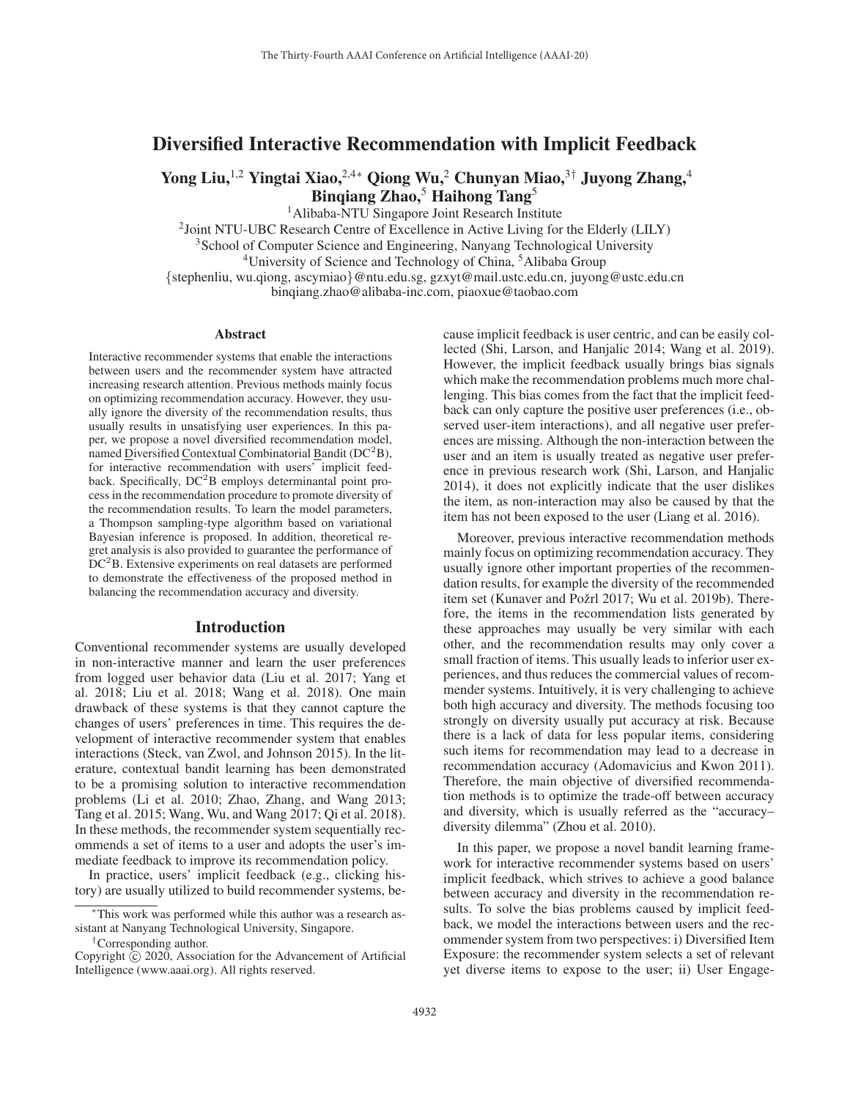# Diversified Interactive Recommendation with Implicit Feedback

Yong Liu,<sup>1,2</sup> Yingtai Xiao,<sup>2,4∗</sup> Qiong Wu,<sup>2</sup> Chunyan Miao,<sup>3†</sup> Juyong Zhang,<sup>4</sup> Binqiang Zhao,<sup>5</sup> Haihong Tang<sup>5</sup>

1Alibaba-NTU Singapore Joint Research Institute

<sup>2</sup>Joint NTU-UBC Research Centre of Excellence in Active Living for the Elderly (LILY)

<sup>3</sup>School of Computer Science and Engineering, Nanyang Technological University

<sup>4</sup>University of Science and Technology of China, <sup>5</sup>Alibaba Group

{stephenliu, wu.qiong, ascymiao}@ntu.edu.sg, gzxyt@mail.ustc.edu.cn, juyong@ustc.edu.cn binqiang.zhao@alibaba-inc.com, piaoxue@taobao.com

### Abstract

Interactive recommender systems that enable the interactions between users and the recommender system have attracted increasing research attention. Previous methods mainly focus on optimizing recommendation accuracy. However, they usually ignore the diversity of the recommendation results, thus usually results in unsatisfying user experiences. In this paper, we propose a novel diversified recommendation model, named Diversified Contextual Combinatorial Bandit ( $DC<sup>2</sup>B$ ), for interactive recommendation with users' implicit feedback. Specifically,  $DC^2B$  employs determinantal point process in the recommendation procedure to promote diversity of the recommendation results. To learn the model parameters, a Thompson sampling-type algorithm based on variational Bayesian inference is proposed. In addition, theoretical regret analysis is also provided to guarantee the performance of DC<sup>2</sup>B. Extensive experiments on real datasets are performed to demonstrate the effectiveness of the proposed method in balancing the recommendation accuracy and diversity.

### Introduction

Conventional recommender systems are usually developed in non-interactive manner and learn the user preferences from logged user behavior data (Liu et al. 2017; Yang et al. 2018; Liu et al. 2018; Wang et al. 2018). One main drawback of these systems is that they cannot capture the changes of users' preferences in time. This requires the development of interactive recommender system that enables interactions (Steck, van Zwol, and Johnson 2015). In the literature, contextual bandit learning has been demonstrated to be a promising solution to interactive recommendation problems (Li et al. 2010; Zhao, Zhang, and Wang 2013; Tang et al. 2015; Wang, Wu, and Wang 2017; Qi et al. 2018). In these methods, the recommender system sequentially recommends a set of items to a user and adopts the user's immediate feedback to improve its recommendation policy.

In practice, users' implicit feedback (e.g., clicking history) are usually utilized to build recommender systems, be-

cause implicit feedback is user centric, and can be easily collected (Shi, Larson, and Hanjalic 2014; Wang et al. 2019). However, the implicit feedback usually brings bias signals which make the recommendation problems much more challenging. This bias comes from the fact that the implicit feedback can only capture the positive user preferences (i.e., observed user-item interactions), and all negative user preferences are missing. Although the non-interaction between the user and an item is usually treated as negative user preference in previous research work (Shi, Larson, and Hanjalic 2014), it does not explicitly indicate that the user dislikes the item, as non-interaction may also be caused by that the item has not been exposed to the user (Liang et al. 2016).

Moreover, previous interactive recommendation methods mainly focus on optimizing recommendation accuracy. They usually ignore other important properties of the recommendation results, for example the diversity of the recommended item set (Kunaver and Požrl 2017; Wu et al. 2019b). Therefore, the items in the recommendation lists generated by these approaches may usually be very similar with each other, and the recommendation results may only cover a small fraction of items. This usually leads to inferior user experiences, and thus reduces the commercial values of recommender systems. Intuitively, it is very challenging to achieve both high accuracy and diversity. The methods focusing too strongly on diversity usually put accuracy at risk. Because there is a lack of data for less popular items, considering such items for recommendation may lead to a decrease in recommendation accuracy (Adomavicius and Kwon 2011). Therefore, the main objective of diversified recommendation methods is to optimize the trade-off between accuracy and diversity, which is usually referred as the "accuracy– diversity dilemma" (Zhou et al. 2010).

In this paper, we propose a novel bandit learning framework for interactive recommender systems based on users' implicit feedback, which strives to achieve a good balance between accuracy and diversity in the recommendation results. To solve the bias problems caused by implicit feedback, we model the interactions between users and the recommender system from two perspectives: i) Diversified Item Exposure: the recommender system selects a set of relevant yet diverse items to expose to the user; ii) User Engage-

<sup>∗</sup>This work was performed while this author was a research assistant at Nanyang Technological University, Singapore. †Corresponding author.

Copyright  $\odot$  2020, Association for the Advancement of Artificial Intelligence (www.aaai.org). All rights reserved.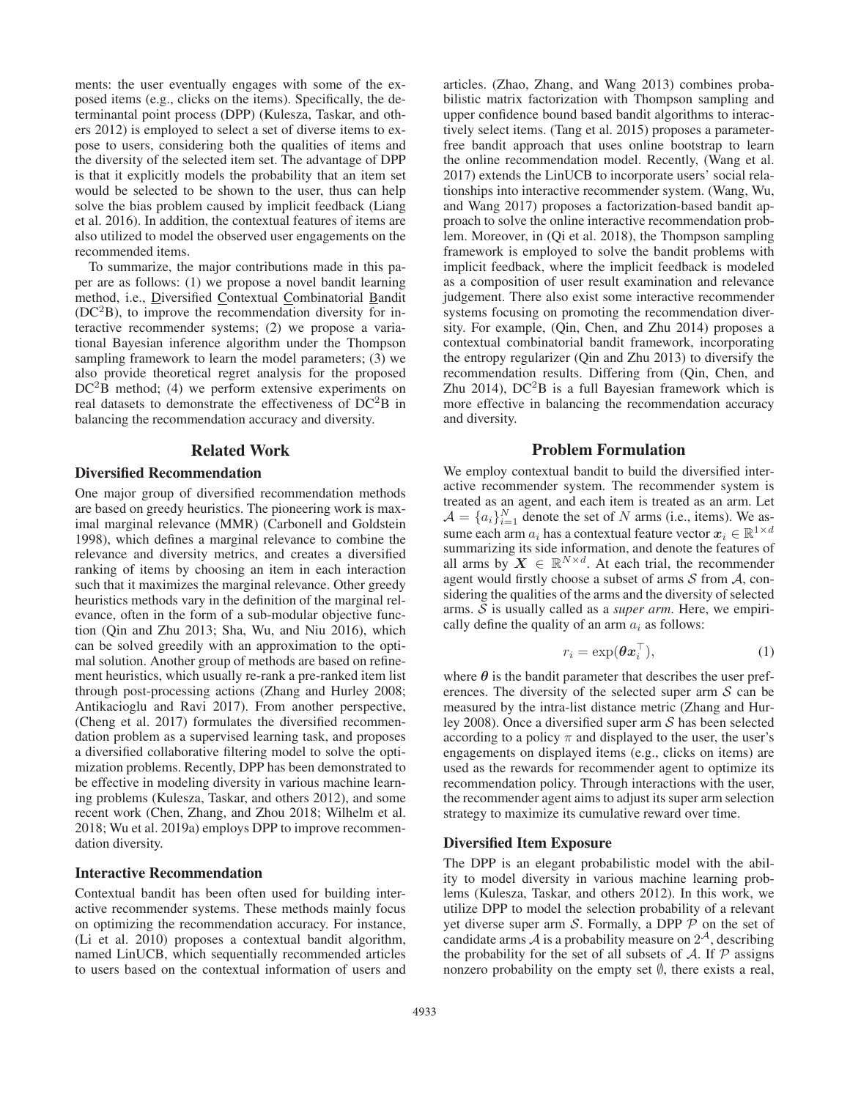ments: the user eventually engages with some of the exposed items (e.g., clicks on the items). Specifically, the determinantal point process (DPP) (Kulesza, Taskar, and others 2012) is employed to select a set of diverse items to expose to users, considering both the qualities of items and the diversity of the selected item set. The advantage of DPP is that it explicitly models the probability that an item set would be selected to be shown to the user, thus can help solve the bias problem caused by implicit feedback (Liang et al. 2016). In addition, the contextual features of items are also utilized to model the observed user engagements on the recommended items.

To summarize, the major contributions made in this paper are as follows: (1) we propose a novel bandit learning method, i.e., Diversified Contextual Combinatorial Bandit  $(DC<sup>2</sup>B)$ , to improve the recommendation diversity for interactive recommender systems; (2) we propose a variational Bayesian inference algorithm under the Thompson sampling framework to learn the model parameters; (3) we also provide theoretical regret analysis for the proposed  $DC<sup>2</sup>B$  method; (4) we perform extensive experiments on real datasets to demonstrate the effectiveness of  $DC<sup>2</sup>B$  in balancing the recommendation accuracy and diversity.

# Related Work

# Diversified Recommendation

One major group of diversified recommendation methods are based on greedy heuristics. The pioneering work is maximal marginal relevance (MMR) (Carbonell and Goldstein 1998), which defines a marginal relevance to combine the relevance and diversity metrics, and creates a diversified ranking of items by choosing an item in each interaction such that it maximizes the marginal relevance. Other greedy heuristics methods vary in the definition of the marginal relevance, often in the form of a sub-modular objective function (Qin and Zhu 2013; Sha, Wu, and Niu 2016), which can be solved greedily with an approximation to the optimal solution. Another group of methods are based on refinement heuristics, which usually re-rank a pre-ranked item list through post-processing actions (Zhang and Hurley 2008; Antikacioglu and Ravi 2017). From another perspective, (Cheng et al. 2017) formulates the diversified recommendation problem as a supervised learning task, and proposes a diversified collaborative filtering model to solve the optimization problems. Recently, DPP has been demonstrated to be effective in modeling diversity in various machine learning problems (Kulesza, Taskar, and others 2012), and some recent work (Chen, Zhang, and Zhou 2018; Wilhelm et al. 2018; Wu et al. 2019a) employs DPP to improve recommendation diversity.

### Interactive Recommendation

Contextual bandit has been often used for building interactive recommender systems. These methods mainly focus on optimizing the recommendation accuracy. For instance, (Li et al. 2010) proposes a contextual bandit algorithm, named LinUCB, which sequentially recommended articles to users based on the contextual information of users and

articles. (Zhao, Zhang, and Wang 2013) combines probabilistic matrix factorization with Thompson sampling and upper confidence bound based bandit algorithms to interactively select items. (Tang et al. 2015) proposes a parameterfree bandit approach that uses online bootstrap to learn the online recommendation model. Recently, (Wang et al. 2017) extends the LinUCB to incorporate users' social relationships into interactive recommender system. (Wang, Wu, and Wang 2017) proposes a factorization-based bandit approach to solve the online interactive recommendation problem. Moreover, in (Qi et al. 2018), the Thompson sampling framework is employed to solve the bandit problems with implicit feedback, where the implicit feedback is modeled as a composition of user result examination and relevance judgement. There also exist some interactive recommender systems focusing on promoting the recommendation diversity. For example, (Qin, Chen, and Zhu 2014) proposes a contextual combinatorial bandit framework, incorporating the entropy regularizer (Qin and Zhu 2013) to diversify the recommendation results. Differing from (Qin, Chen, and Zhu 2014),  $DC<sup>2</sup>B$  is a full Bayesian framework which is more effective in balancing the recommendation accuracy and diversity.

# Problem Formulation

We employ contextual bandit to build the diversified interactive recommender system. The recommender system is treated as an agent, and each item is treated as an arm. Let  $\mathcal{A} = \{a_i\}_{i=1}^N$  denote the set of N arms (i.e., items). We as-<br>sume each arm a, has a contextual feature vector  $x_i \in \mathbb{R}^{1 \times d}$ sume each arm  $a_i$  has a contextual feature vector  $x_i \in \mathbb{R}^{1 \times d}$ summarizing its side information, and denote the features of all arms by  $\mathbf{X} \in \mathbb{R}^{N \times d}$ . At each trial, the recommender agent would firstly choose a subset of arms  $S$  from  $A$ , considering the qualities of the arms and the diversity of selected arms. S is usually called as a *super arm*. Here, we empirically define the quality of an arm  $a_i$  as follows:

$$
r_i = \exp(\boldsymbol{\theta} \boldsymbol{x}_i^\top), \tag{1}
$$

where  $\theta$  is the bandit parameter that describes the user preferences. The diversity of the selected super arm  $S$  can be measured by the intra-list distance metric (Zhang and Hurley 2008). Once a diversified super arm S has been selected according to a policy  $\pi$  and displayed to the user, the user's engagements on displayed items (e.g., clicks on items) are used as the rewards for recommender agent to optimize its recommendation policy. Through interactions with the user, the recommender agent aims to adjust its super arm selection strategy to maximize its cumulative reward over time.

### Diversified Item Exposure

The DPP is an elegant probabilistic model with the ability to model diversity in various machine learning problems (Kulesza, Taskar, and others 2012). In this work, we utilize DPP to model the selection probability of a relevant yet diverse super arm S. Formally, a DPP  $\overline{P}$  on the set of candidate arms A is a probability measure on  $2^{\mathcal{A}}$ , describing the probability for the set of all subsets of  $A$ . If  $P$  assigns nonzero probability on the empty set  $\emptyset$ , there exists a real,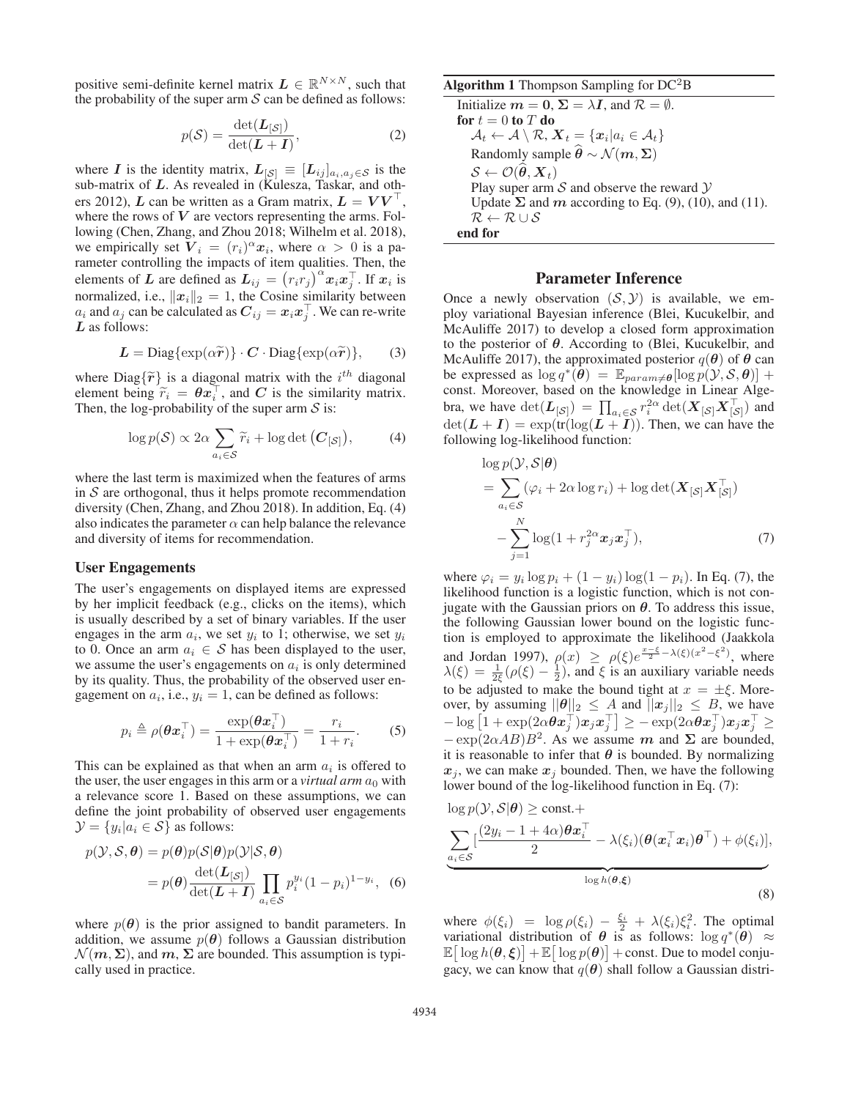positive semi-definite kernel matrix  $L \in \mathbb{R}^{N \times N}$ , such that the probability of the super arm  $S$  can be defined as follows:

$$
p(S) = \frac{\det(L_{[S]})}{\det(L+I)},
$$
\n(2)

where *I* is the identity matrix,  $L_{\{\mathcal{S}\}} \equiv [L_{ij}]_{a_i, a_j \in \mathcal{S}}$  is the sub-matrix of *L*. As revealed in (Kulesza, Taskar, and others 2012),  $L$  can be written as a Gram matrix,  $L = VV^{\top}$ , where the rows of  $V$  are vectors representing the arms. Following (Chen, Zhang, and Zhou 2018; Wilhelm et al. 2018), we empirically set  $V_i = (r_i)^{\alpha} x_i$ , where  $\alpha > 0$  is a parameter controlling the impacts of item qualities. Then, the elements of *L* are defined as  $L_{ij} = (r_i r_j)^{\alpha} x_i x_j^{\dagger}$ . If  $x_i$  is normalized, i.e.,  $||x_i||_2 = 1$ , the Cosine similarity between  $a_i$  and  $a_j$  can be calculated as  $C_{ij} = x_i x_i^{\dagger}$  . We can re-write *L* as follows:

$$
L = \text{Diag}\{\exp(\alpha \widetilde{r})\} \cdot C \cdot \text{Diag}\{\exp(\alpha \widetilde{r})\},\qquad(3)
$$

where  $Diag{\tilde{r}}$  is a diagonal matrix with the  $i^{th}$  diagonal<br>planeat being  $\tilde{r} = \theta x^{\top}$  and  $G$  is the similarity matrix element being  $\widetilde{r}_i = \theta x_i^{\dagger}$ , and *C* is the similarity matrix.<br>Then the log probability of the super arm *S* is: Then, the log-probability of the super arm  $S$  is:

$$
\log p(\mathcal{S}) \propto 2\alpha \sum_{a_i \in \mathcal{S}} \widetilde{r}_i + \log \det \left( \mathbf{C}_{[\mathcal{S}]}\right),\tag{4}
$$

where the last term is maximized when the features of arms in  $S$  are orthogonal, thus it helps promote recommendation diversity (Chen, Zhang, and Zhou 2018). In addition, Eq. (4) also indicates the parameter  $\alpha$  can help balance the relevance and diversity of items for recommendation.

# User Engagements

The user's engagements on displayed items are expressed by her implicit feedback (e.g., clicks on the items), which is usually described by a set of binary variables. If the user engages in the arm  $a_i$ , we set  $y_i$  to 1; otherwise, we set  $y_i$ to 0. Once an arm  $a_i \in S$  has been displayed to the user, we assume the user's engagements on  $a_i$  is only determined by its quality. Thus, the probability of the observed user engagement on  $a_i$ , i.e.,  $y_i = 1$ , can be defined as follows:

$$
p_i \triangleq \rho(\boldsymbol{\theta}\boldsymbol{x}_i^{\top}) = \frac{\exp(\boldsymbol{\theta}\boldsymbol{x}_i^{\top})}{1 + \exp(\boldsymbol{\theta}\boldsymbol{x}_i^{\top})} = \frac{r_i}{1 + r_i}.
$$
 (5)

This can be explained as that when an arm  $a_i$  is offered to the user, the user engages in this arm or a *virtual arm*  $a_0$  with a relevance score 1. Based on these assumptions, we can define the joint probability of observed user engagements  $\mathcal{Y} = \{y_i | a_i \in \mathcal{S} \}$  as follows:

$$
p(\mathcal{Y}, \mathcal{S}, \boldsymbol{\theta}) = p(\boldsymbol{\theta})p(\mathcal{S}|\boldsymbol{\theta})p(\mathcal{Y}|\mathcal{S}, \boldsymbol{\theta})
$$

$$
= p(\boldsymbol{\theta})\frac{\det(\boldsymbol{L}_{[\mathcal{S}]})}{\det(\boldsymbol{L}+\boldsymbol{I})}\prod_{a_i \in \mathcal{S}}p_i^{y_i}(1-p_i)^{1-y_i}, \quad (6)
$$

where  $p(\theta)$  is the prior assigned to bandit parameters. In addition, we assume  $p(\theta)$  follows a Gaussian distribution  $\mathcal{N}(m, \Sigma)$ , and  $m$ ,  $\Sigma$  are bounded. This assumption is typically used in practice.

# Parameter Inference

Once a newly observation  $(S, Y)$  is available, we employ variational Bayesian inference (Blei, Kucukelbir, and McAuliffe 2017) to develop a closed form approximation to the posterior of *θ*. According to (Blei, Kucukelbir, and McAuliffe 2017), the approximated posterior  $q(\theta)$  of  $\theta$  can be expressed as  $\log q^*(\theta) = \mathbb{E}_{param \neq \theta}[\log p(\mathcal{Y}, \mathcal{S}, \theta)]$  + const. Moreover, based on the knowledge in Linear Algebra, we have  $\det(L_{\S)} = \prod_{a_i \in S} r_i^{2\alpha} \det(X_{\S]} X_{\S]}^{\top}$  and  $\det(L + I) = \exp(\text{tr}(\log(L + I)).$  Then, we can have the following log-likelihood function:

log p(*B*)

$$
\log p(\mathcal{Y}, \mathcal{S}|\boldsymbol{\theta})
$$
  
= 
$$
\sum_{a_i \in \mathcal{S}} (\varphi_i + 2\alpha \log r_i) + \log \det(\boldsymbol{X}_{[\mathcal{S}]} \boldsymbol{X}_{[\mathcal{S}]}^{\top})
$$
  
- 
$$
\sum_{j=1}^N \log(1 + r_j^{2\alpha} \boldsymbol{x}_j \boldsymbol{x}_j^{\top}),
$$
 (7)

where  $\varphi_i = y_i \log p_i + (1 - y_i) \log(1 - p_i)$ . In Eq. (7), the likelihood function is a logistic function, which is not conjugate with the Gaussian priors on  $\theta$ . To address this issue, the following Gaussian lower bound on the logistic function is employed to approximate the likelihood (Jaakkola and Jordan 1997),  $\rho(x) \ge \rho(\xi) e^{\frac{x-\xi}{2} - \lambda(\xi)(x^2 - \xi^2)}$ , where  $\lambda(\xi) = \frac{1}{2\xi} (\rho(\xi) - \frac{1}{2})$ , and  $\xi$  is an auxiliary variable needs<br>to be adjusted to make the bound tight at  $x = \pm \xi$ . Moreto be adjusted to make the bound tight at  $x = \pm \xi$ . Moreover, by assuming  $||\theta||_2 \leq A$  and  $||x_j||_2 \leq B$ , we have  $\left[-\log\left[1+\exp(2\alpha\boldsymbol{\theta}\boldsymbol{x}_{i}^{\top})\boldsymbol{x}_{j}\boldsymbol{x}_{j}^{\top}\right]\geq-\exp(2\alpha\boldsymbol{\theta}\boldsymbol{x}_{i}^{\top})\boldsymbol{x}_{j}\boldsymbol{x}_{j}^{\top}\geq0\right]$  $-\exp(2\alpha AB)B^2$ . As we assume *m* and  $\Sigma$  are bounded, it is reasonable to infer that  $\theta$  is bounded. By normalizing  $x_j$ , we can make  $x_j$  bounded. Then, we have the following lower bound of the log-likelihood function in Eq. (7):

$$
\log p(\mathcal{Y}, \mathcal{S}|\boldsymbol{\theta}) \ge \text{const.} + \sum_{\alpha_i \in \mathcal{S}} \left[ \frac{(2y_i - 1 + 4\alpha)\boldsymbol{\theta} \boldsymbol{x}_i^{\top}}{2} - \lambda(\xi_i)(\boldsymbol{\theta}(\boldsymbol{x}_i^{\top}\boldsymbol{x}_i)\boldsymbol{\theta}^{\top}) + \phi(\xi_i) \right],
$$
\n
$$
\log h(\boldsymbol{\theta}, \boldsymbol{\xi})
$$
\n(8)

where  $\phi(\xi_i) = \log \rho(\xi_i) - \frac{\xi_i}{2} + \lambda(\xi_i)\xi_i^2$ . The optimal variational distribution of  $\theta$  is as follows:  $\log \theta \neq (\theta) \approx$ variational distribution of  $\theta$  is as follows:  $\log q^*(\theta) \approx$  $\mathbb{E}[\log h(\theta, \xi)] + \mathbb{E}[\log p(\theta)] + \text{const.}$  Due to model conjugacy, we can know that  $q(\theta)$  shall follow a Gaussian distri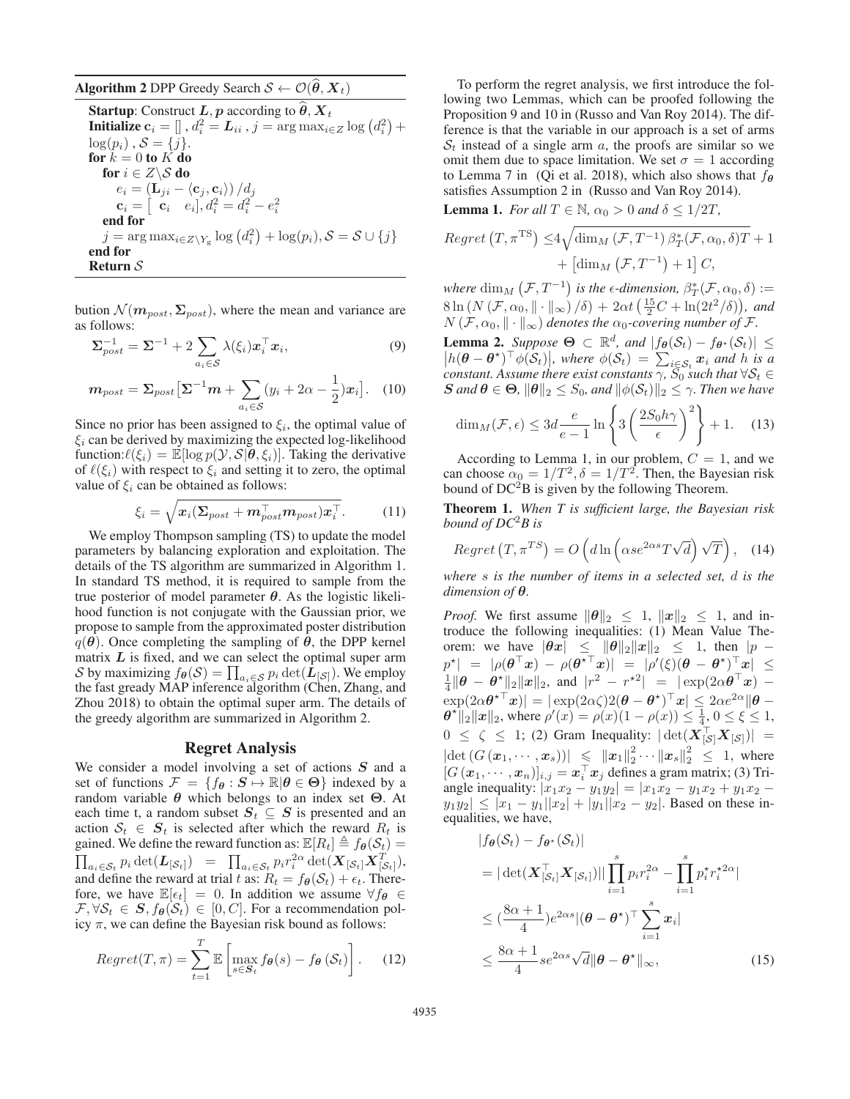Algorithm 2 DPP Greedy Search  $S \leftarrow \mathcal{O}(\theta, X_t)$ 

**Startup:** Construct  $L, p$  according to  $\hat{\theta}, X_t$ **Initialize**  $\mathbf{c}_i = []$ ,  $d_i^2 = \mathbf{L}_{ii}$ ,  $j = \arg \max_{i \in Z} \log (d_i^2) + \log (d_i^2)$  $log(p_i)$ ,  $S = \{j\}$ . for  $k = 0$  to  $K$  do for  $i \in Z \backslash S$  do  $e_i = (\mathbf{L}_{ji} - \langle \mathbf{c}_j, \mathbf{c}_i \rangle) / d_j$  $\mathbf{c}_i = \begin{bmatrix} \mathbf{c}_i & e_i \end{bmatrix}, d_i^2 = d_i^2 - e_i^2$ end for  $j = \arg \max_{i \in Z \setminus Y_{g}} \log (d_{i}^{2}) + \log(p_{i}), S = S \cup \{j\}$ end for Return S

bution  $\mathcal{N}(m_{post}, \Sigma_{post})$ , where the mean and variance are as follows:

$$
\Sigma_{post}^{-1} = \Sigma^{-1} + 2 \sum_{a_i \in S} \lambda(\xi_i) x_i^{\top} x_i,
$$
\n(9)

$$
m_{post} = \Sigma_{post} \left[\Sigma^{-1}m + \sum_{a_i \in S} (y_i + 2\alpha - \frac{1}{2})x_i\right].
$$
 (10)

Since no prior has been assigned to  $\xi_i$ , the optimal value of  $\xi_i$  can be derived by maximizing the expected log-likelihood function: $\ell(\xi_i) = \mathbb{E}[\log p(\mathcal{Y}, \mathcal{S} | \boldsymbol{\theta}, \xi_i)]$ . Taking the derivative of  $\ell(\xi_i)$  with respect to  $\xi_i$  and setting it to zero, the optimal value of  $\xi_i$  can be obtained as follows:

$$
\xi_i = \sqrt{x_i (\Sigma_{post} + m_{post}^\top m_{post}) x_i^\top}. \tag{11}
$$

We employ Thompson sampling (TS) to update the model parameters by balancing exploration and exploitation. The details of the TS algorithm are summarized in Algorithm 1. In standard TS method, it is required to sample from the true posterior of model parameter *θ*. As the logistic likelihood function is not conjugate with the Gaussian prior, we propose to sample from the approximated poster distribution  $q(\theta)$ . Once completing the sampling of  $\theta$ , the DPP kernel matrix *L* is fixed, and we can select the optimal super arm S by maximizing  $f_{\theta}(S) = \prod_{a_i \in S} p_i \det(\hat{L}_{[S]})$ . We employ the fast gready MAP inference algorithm (Chen, Zhang, and Zhou 2018) to obtain the optimal super arm. The details of the greedy algorithm are summarized in Algorithm 2.

#### Regret Analysis

We consider a model involving a set of actions *S* and a set of functions  $\mathcal{F} = \{f_{\theta} : S \mapsto \mathbb{R} | \theta \in \Theta \}$  indexed by a random variable *θ* which belongs to an index set **Θ**. At each time t, a random subset  $S_t \subseteq S$  is presented and an action  $S_t \in S_t$  is selected after which the reward  $R_t$  is gained. We define the reward function as:  $\mathbb{E}[R_t] \triangleq f_{\theta}(\mathcal{S}_t) =$  $\prod_{a_i \in S_t} p_i \det(L_{[S_t]}) = \prod_{a_i \in S_t} p_i r_i^{2\alpha} \det(\mathbf{X}_{[S_t]}\mathbf{X}_{[S_t]}^T)$ and define the reward at trial t as:  $R_t = f_{\theta}(S_t) + \epsilon_t$ . Therefore, we have  $\mathbb{E}[\epsilon_t]=0$ . In addition we assume  $\forall f_{\theta} \in$  $\mathcal{F}, \forall \mathcal{S}_t \in \mathbf{S}, f_{\theta}(\mathcal{S}_t) \in [0, C].$  For a recommendation policy  $\pi$ , we can define the Bayesian risk bound as follows:

$$
Regret(T, \pi) = \sum_{t=1}^{T} \mathbb{E}\left[\max_{s \in S_t} f_{\theta}(s) - f_{\theta}\left(S_t\right)\right].
$$
 (12)

To perform the regret analysis, we first introduce the following two Lemmas, which can be proofed following the Proposition 9 and 10 in (Russo and Van Roy 2014). The difference is that the variable in our approach is a set of arms  $S_t$  instead of a single arm a, the proofs are similar so we omit them due to space limitation. We set  $\sigma = 1$  according to Lemma 7 in (Qi et al. 2018), which also shows that  $f_{\theta}$ satisfies Assumption 2 in (Russo and Van Roy 2014).

**Lemma 1.** *For all*  $T \in \mathbb{N}$ ,  $\alpha_0 > 0$  *and*  $\delta \leq 1/2T$ ,

$$
Regret(T, \pi^{TS}) \leq 4\sqrt{\dim_M (\mathcal{F}, T^{-1}) \beta_T^*(\mathcal{F}, \alpha_0, \delta) T} + 1
$$

$$
+ \left[ \dim_M (\mathcal{F}, T^{-1}) + 1 \right] C,
$$

*where*  $\dim_M (\mathcal{F}, T^{-1})$  *is the e-dimension,*  $\beta^*_{\mathcal{F}}(\mathcal{F}, \alpha_0, \delta) :=$  $8 \ln (N (\mathcal{F}, \alpha_0, \| \cdot \|_{\infty}) / \delta) + 2 \alpha t \left( \frac{15}{2} C + \ln(2t^2 / \delta) \right)$ , and<br>*N* (*F*,  $\alpha_0$ , ||, ||, ) denotes the  $\alpha_0$ -covering number of *F*.  $N(\mathcal{F}, \alpha_0, \|\cdot\|_{\infty})$  denotes the  $\alpha_0$ -covering number of  $\mathcal{F}$ .

**Lemma 2.** *Suppose*  $\Theta \subset \mathbb{R}^d$ *, and*  $|f_{\theta}(S_t) - f_{\theta^*}(S_t)| \leq$ **Lemma 2.** Suppose  $\Theta \subset \mathbb{R}^d$ , and  $|f_{\theta}(S_t) - f_{\theta^*}(S_t)| \leq |h(\theta - \theta^*)^{\top} \phi(S_t)|$ , where  $\phi(S_t) = \sum_{i \in S_t} x_i$  and h is a *constant. Assume there exist constants*  $\gamma$ ,  $\overline{S}_0$  *such that*  $\forall S_t \in$ <br>S and  $\theta \in \Theta$ ,  $\|\theta\|_{\infty} \leq S_t$ , and  $\|\phi(S_t)\|_{\infty} \leq \alpha$ . Then we have *S* and  $\theta \in \Theta$ ,  $\|\theta\|_2 \leq S_0$ , and  $\|\phi(S_t)\|_2 \leq \gamma$ . Then we have

$$
\dim_M(\mathcal{F}, \epsilon) \le 3d \frac{e}{e-1} \ln \left\{ 3\left(\frac{2S_0 h \gamma}{\epsilon}\right)^2 \right\} + 1. \quad (13)
$$

According to Lemma 1, in our problem,  $C = 1$ , and we can choose  $\alpha_0 = 1/T^2$ ,  $\delta = 1/T^2$ . Then, the Bayesian risk bound of  $DC^2B$  is given by the following Theorem.

Theorem 1. *When T is sufficient large, the Bayesian risk bound of DC*2*B is*

$$
Regret(T, \pi^{TS}) = O\left(d\ln\left(\alpha se^{2\alpha s} T\sqrt{d}\right)\sqrt{T}\right), \quad (14)
$$

*where* s *is the number of items in a selected set,* d *is the dimension of θ.*

*Proof.* We first assume  $||\theta||_2 \leq 1$ ,  $||x||_2 \leq 1$ , and introduce the following inequalities: (1) Mean Value Theorem: we have  $|\theta x| \leq ||\theta||_2 ||x||_2 \leq 1$ , then  $|p |p^*| = |\rho(\boldsymbol{\theta}^\top \boldsymbol{x}) - \rho(\boldsymbol{\theta}^{\star \top} \boldsymbol{x})| = |\rho'(\xi)(\boldsymbol{\theta} - \boldsymbol{\theta}^{\star})^\top \boldsymbol{x}| \leq$  $\frac{1}{4} || \theta - \theta^* ||_2 ||x||_2$ , and  $|r^2 - r^{*2}| = |\exp(2\alpha \theta^\top x) - \exp(2\alpha \theta^* \tau^*)|$  $\begin{aligned} \exp(2\alpha {\boldsymbol{\theta}^\star}^\top \boldsymbol{x})| = |\exp(2\alpha \zeta) 2(\boldsymbol{\theta} - \boldsymbol{\theta}^\star)^\top \boldsymbol{x}| \leq 2\alpha e^{2\alpha} \|\boldsymbol{\theta} - \zeta\| \end{aligned}$  $\theta^* \|_2 \|x\|_2$ , where  $\rho'(x) = \rho(x)(1 - \rho(x)) \leq \frac{1}{4}, 0 \leq \xi \leq 1,$ <br>  $0 \leq \xi \leq 1$ , (2) Gram Inequality:  $|\det(\mathbf{Y}^\top \mathbf{Y})| =$  $0 \leq \zeta \leq 1$ ; (2) Gram Inequality:  $|\det(\mathbf{X}^{\dagger}_{\mathcal{S}}|\mathbf{X}_{\mathcal{S}})|$  =  $|\det(G(\mathbf{x}_1, \cdots, \mathbf{x}_s))| \leqslant \| \mathbf{x}_1 \|_2^2 \cdots \| \mathbf{x}_s \|_2^2 \leqslant 1$ , where  $[G(x_1, \dots, x_n)]_{i,j} = x_i^{\top} x_j$  defines a gram matrix; (3) Tri-<br>angle inequality:  $|x_i x_2 - y_i y_2| = |x_i x_2 - y_i x_2 + y_i x_2 - y_2 x_2|$ angle inequality:  $|x_1x_2 - y_1y_2| = |x_1x_2 - y_1x_2 + y_1x_2 |y_1y_2| \leq |x_1 - y_1||x_2| + |y_1||x_2 - y_2|$ . Based on these inequalities, we have,

$$
|f_{\theta}(\mathcal{S}_{t}) - f_{\theta^*}(\mathcal{S}_{t})|
$$
  
\n
$$
= |\det(\mathbf{X}_{[\mathcal{S}_{t}]}^{\top} \mathbf{X}_{[\mathcal{S}_{t}]})|| \prod_{i=1}^{s} p_{i} r_{i}^{2\alpha} - \prod_{i=1}^{s} p_{i}^{*} r_{i}^{*2\alpha}|
$$
  
\n
$$
\leq (\frac{8\alpha + 1}{4})e^{2\alpha s}|(\theta - \theta^{*})^{\top} \sum_{i=1}^{s} x_{i}|
$$
  
\n
$$
\leq \frac{8\alpha + 1}{4} s e^{2\alpha s} \sqrt{d} \|\theta - \theta^{*}\|_{\infty},
$$
\n(15)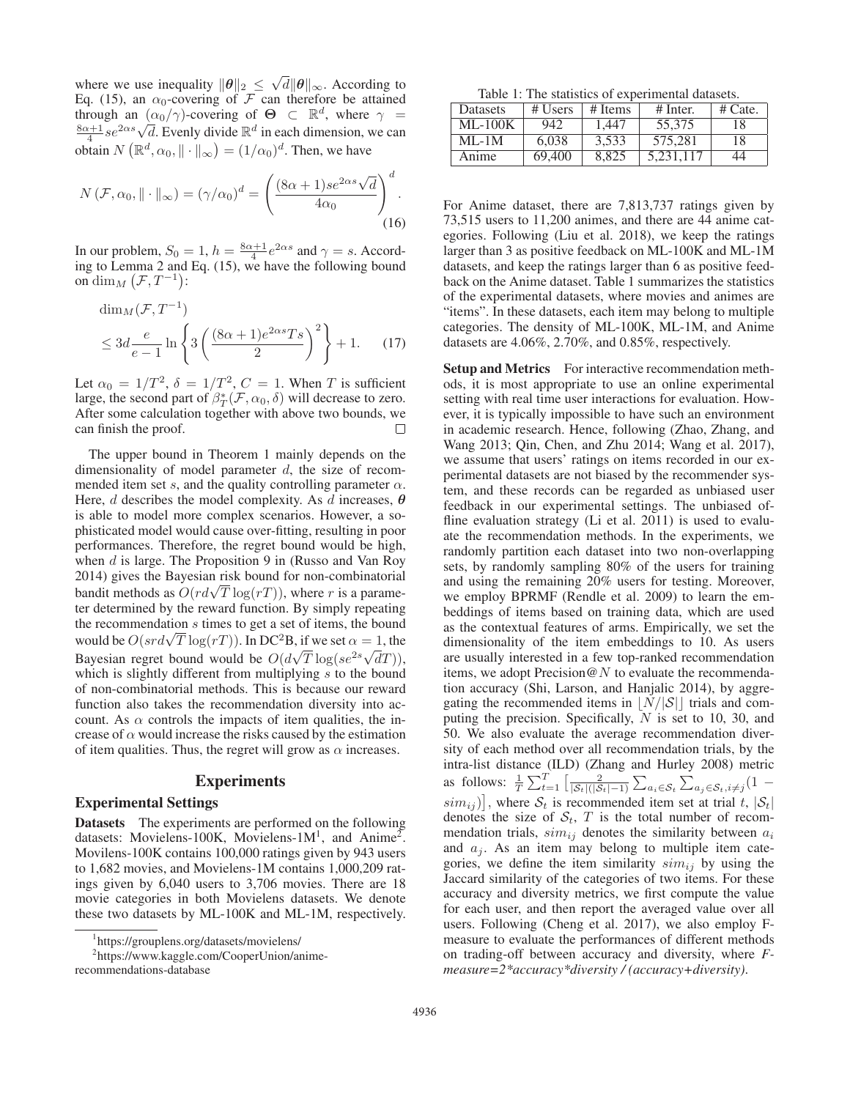where we use inequality  $||\boldsymbol{\theta}||_2 \leq \sqrt{d} ||\boldsymbol{\theta}||_{\infty}$ . According to  $E_{\text{Q}}(15)$ , an  $\alpha_0$  covering of  $\mathcal{F}$  can therefore be attained Eq. (15), an  $\alpha_0$ -covering of F can therefore be attained through an  $(\alpha_0/\gamma)$ -covering of  $\Theta \subset \mathbb{R}^d$ , where  $\gamma =$ and  $(\alpha_0/\gamma)$ -covering of  $\Theta \subset \mathbb{R}$ , where  $\gamma = \frac{8\alpha+1}{4}se^{2\alpha s}\sqrt{d}$ . Evenly divide  $\mathbb{R}^d$  in each dimension, we can<br>be their  $N(\mathbb{R}^d, \alpha_0, \mathbb{L}, \mathbb{L}) = (1/\alpha_0)^d$ . Then we have obtain  $N(\mathbb{R}^d, \alpha_0, \| \cdot \|_{\infty}) = (1/\alpha_0)^d$ . Then, we have

$$
N(\mathcal{F}, \alpha_0, \|\cdot\|_{\infty}) = (\gamma/\alpha_0)^d = \left(\frac{(8\alpha + 1)se^{2\alpha s}\sqrt{d}}{4\alpha_0}\right)^d.
$$
\n(16)

In our problem,  $S_0 = 1$ ,  $h = \frac{8\alpha + 1}{4}e^{2\alpha s}$  and  $\gamma = s$ . According to Lemma 2 and Eq. (15), we have the following bound on dim<sub>M</sub>  $(\mathcal{F}, T^{-1})$ :

$$
\dim_M(\mathcal{F}, T^{-1})
$$
  
\n
$$
\leq 3d \frac{e}{e-1} \ln \left\{ 3\left(\frac{(8\alpha+1)e^{2\alpha s} T s}{2}\right)^2 \right\} + 1.
$$
 (17)

Let  $\alpha_0 = 1/T^2$ ,  $\delta = 1/T^2$ ,  $C = 1$ . When T is sufficient large, the second part of  $\beta^*_{\mathcal{I}}(\mathcal{F}, \alpha_0, \delta)$  will decrease to zero. After some calculation together with above two bounds, we can finish the proof.

The upper bound in Theorem 1 mainly depends on the dimensionality of model parameter  $d$ , the size of recommended item set s, and the quality controlling parameter  $\alpha$ . Here, d describes the model complexity. As d increases, *θ* is able to model more complex scenarios. However, a sophisticated model would cause over-fitting, resulting in poor performances. Therefore, the regret bound would be high, when  $d$  is large. The Proposition 9 in (Russo and Van Roy 2014) gives the Bayesian risk bound for non-combinatorial  $2014$ ) gives the Bayesian risk bound for non-combinatorial bandit methods as  $O(r d\sqrt{T} \log(rT))$ , where r is a parameter determined by the reward function. By simply repeating the recommendation  $s$  times to get a set of items, the bound would be  $O(srd\sqrt{T}\log(rT))$ . In DC<sup>2</sup>B, if we set  $\alpha = 1$ , the Bayesian regret bound would be  $O(d\sqrt{T}\log(se^{2s}\sqrt{d}T))$ , which is slightly different from multiplying  $s$  to the bound of non-combinatorial methods. This is because our reward function also takes the recommendation diversity into account. As  $\alpha$  controls the impacts of item qualities, the increase of  $\alpha$  would increase the risks caused by the estimation of item qualities. Thus, the regret will grow as  $\alpha$  increases.

# Experiments

### Experimental Settings

Datasets The experiments are performed on the following datasets: Movielens-100K, Movielens-1 $M<sup>1</sup>$ , and Anime<sup>2</sup>. Movilens-100K contains 100,000 ratings given by 943 users to 1,682 movies, and Movielens-1M contains 1,000,209 ratings given by 6,040 users to 3,706 movies. There are 18 movie categories in both Movielens datasets. We denote these two datasets by ML-100K and ML-1M, respectively.

Table 1: The statistics of experimental datasets.

| <b>Datasets</b> | # Users | $#$ Items | $#$ Inter. | $#$ Cate. |  |
|-----------------|---------|-----------|------------|-----------|--|
| $ML-100K$       | 942     | 1.447     | 55,375     | 18        |  |
| $MI - 1M$       | 6.038   | 3.533     | 575.281    | 18        |  |
| Anime           | 69,400  | 8.825     | 5,231,117  | 44        |  |

For Anime dataset, there are 7,813,737 ratings given by 73,515 users to 11,200 animes, and there are 44 anime categories. Following (Liu et al. 2018), we keep the ratings larger than 3 as positive feedback on ML-100K and ML-1M datasets, and keep the ratings larger than 6 as positive feedback on the Anime dataset. Table 1 summarizes the statistics of the experimental datasets, where movies and animes are "items". In these datasets, each item may belong to multiple categories. The density of ML-100K, ML-1M, and Anime datasets are 4.06%, 2.70%, and 0.85%, respectively.

Setup and Metrics For interactive recommendation methods, it is most appropriate to use an online experimental setting with real time user interactions for evaluation. However, it is typically impossible to have such an environment in academic research. Hence, following (Zhao, Zhang, and Wang 2013; Qin, Chen, and Zhu 2014; Wang et al. 2017), we assume that users' ratings on items recorded in our experimental datasets are not biased by the recommender system, and these records can be regarded as unbiased user feedback in our experimental settings. The unbiased offline evaluation strategy (Li et al. 2011) is used to evaluate the recommendation methods. In the experiments, we randomly partition each dataset into two non-overlapping sets, by randomly sampling 80% of the users for training and using the remaining 20% users for testing. Moreover, we employ BPRMF (Rendle et al. 2009) to learn the embeddings of items based on training data, which are used as the contextual features of arms. Empirically, we set the dimensionality of the item embeddings to 10. As users are usually interested in a few top-ranked recommendation items, we adopt Precision  $\omega_N$  to evaluate the recommendation accuracy (Shi, Larson, and Hanjalic 2014), by aggregating the recommended items in  $|N/|\mathcal{S}|$  trials and computing the precision. Specifically,  $N$  is set to 10, 30, and 50. We also evaluate the average recommendation diversity of each method over all recommendation trials, by the intra-list distance (ILD) (Zhang and Hurley 2008) metric as follows:  $\frac{1}{T} \sum_{t=1}^T \left[ \frac{2}{|\mathcal{S}_t|(|\mathcal{S}_t|-1)} \right]$  $\sum_{a_i \in \mathcal{S}_t} \sum_{a_j \in \mathcal{S}_t, i \neq j} (1 \{sim_{ij}\}\big]$ , where  $S_t$  is recommended item set at trial t,  $|S_t|$ denotes the size of  $S_t$ , T is the total number of recommendation trials,  $sim_{ij}$  denotes the similarity between  $a_i$ and  $a_i$ . As an item may belong to multiple item categories, we define the item similarity  $sim_{ij}$  by using the Jaccard similarity of the categories of two items. For these accuracy and diversity metrics, we first compute the value for each user, and then report the averaged value over all users. Following (Cheng et al. 2017), we also employ Fmeasure to evaluate the performances of different methods on trading-off between accuracy and diversity, where *Fmeasure=2\*accuracy\*diversity / (accuracy+diversity)*.

<sup>1</sup> https://grouplens.org/datasets/movielens/

<sup>2</sup> https://www.kaggle.com/CooperUnion/animerecommendations-database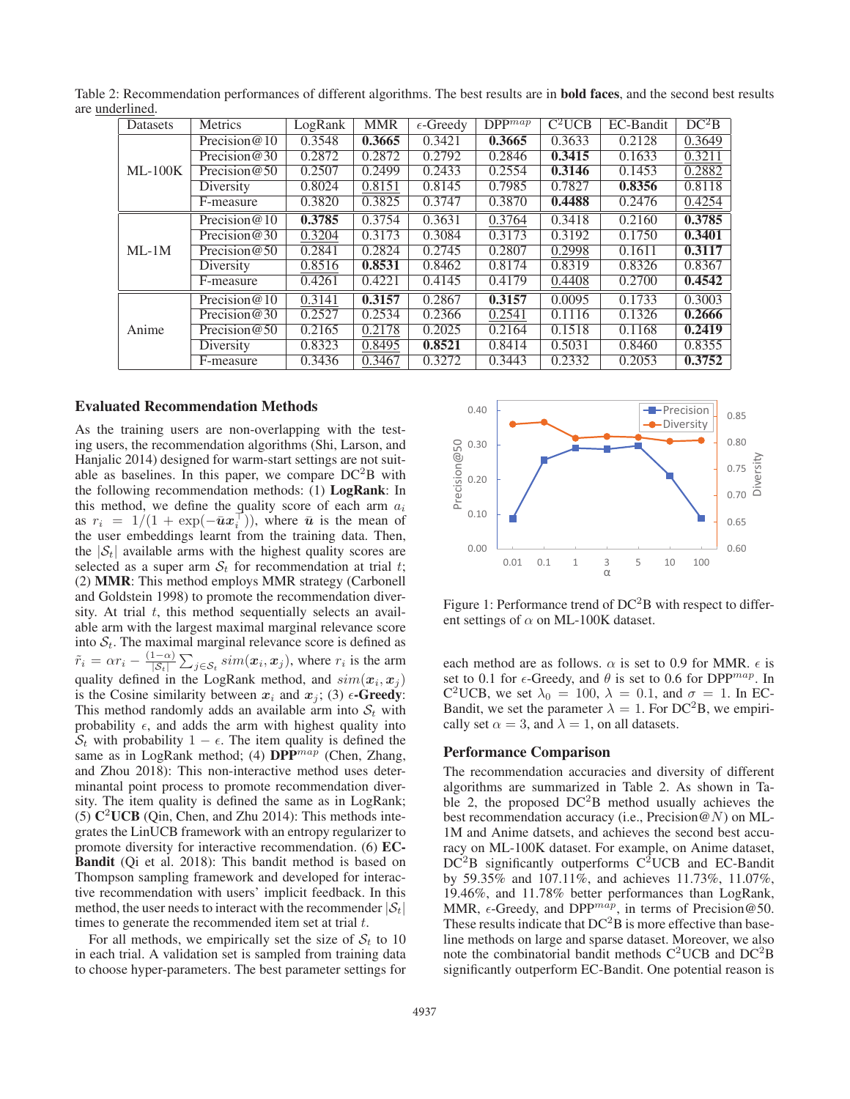| Datasets  | <b>Metrics</b>  | LogRank | <b>MMR</b> | $\epsilon$ -Greedy | $\overline{\text{DPP}^{map}}$ | $\overline{C^2UCB}$ | $\overline{EC}$ -Bandit | DC <sup>2</sup> B |
|-----------|-----------------|---------|------------|--------------------|-------------------------------|---------------------|-------------------------|-------------------|
| $ML-100K$ | Precision $@10$ | 0.3548  | 0.3665     | 0.3421             | 0.3665                        | 0.3633              | 0.2128                  | 0.3649            |
|           | Precision $@30$ | 0.2872  | 0.2872     | 0.2792             | 0.2846                        | 0.3415              | 0.1633                  | 0.3211            |
|           | Precision $@50$ | 0.2507  | 0.2499     | 0.2433             | 0.2554                        | 0.3146              | 0.1453                  | 0.2882            |
|           | Diversity       | 0.8024  | 0.8151     | 0.8145             | 0.7985                        | 0.7827              | 0.8356                  | 0.8118            |
|           | F-measure       | 0.3820  | 0.3825     | 0.3747             | 0.3870                        | 0.4488              | 0.2476                  | 0.4254            |
| $ML-1M$   | Precision $@10$ | 0.3785  | 0.3754     | 0.3631             | 0.3764                        | 0.3418              | 0.2160                  | 0.3785            |
|           | Precision $@30$ | 0.3204  | 0.3173     | 0.3084             | 0.3173                        | 0.3192              | 0.1750                  | 0.3401            |
|           | Precision $@50$ | 0.2841  | 0.2824     | 0.2745             | 0.2807                        | 0.2998              | 0.1611                  | 0.3117            |
|           | Diversity       | 0.8516  | 0.8531     | 0.8462             | 0.8174                        | 0.8319              | 0.8326                  | 0.8367            |
|           | F-measure       | 0.4261  | 0.4221     | 0.4145             | 0.4179                        | 0.4408              | 0.2700                  | 0.4542            |
| Anime     | Precision $@10$ | 0.3141  | 0.3157     | 0.2867             | 0.3157                        | 0.0095              | 0.1733                  | 0.3003            |
|           | Precision $@30$ | 0.2527  | 0.2534     | 0.2366             | 0.2541                        | 0.1116              | 0.1326                  | 0.2666            |
|           | Precision $@50$ | 0.2165  | 0.2178     | 0.2025             | 0.2164                        | 0.1518              | 0.1168                  | 0.2419            |
|           | Diversity       | 0.8323  | 0.8495     | 0.8521             | 0.8414                        | 0.5031              | 0.8460                  | 0.8355            |
|           | F-measure       | 0.3436  | 0.3467     | 0.3272             | 0.3443                        | 0.2332              | 0.2053                  | 0.3752            |

Table 2: Recommendation performances of different algorithms. The best results are in bold faces, and the second best results are underlined.

#### Evaluated Recommendation Methods

As the training users are non-overlapping with the testing users, the recommendation algorithms (Shi, Larson, and Hanjalic 2014) designed for warm-start settings are not suitable as baselines. In this paper, we compare  $DC<sup>2</sup>B$  with the following recommendation methods: (1) LogRank: In this method, we define the quality score of each arm  $a_i$ as  $r_i = 1/(1 + \exp(-\bar{u}x_i^{\top}))$ , where  $\bar{u}$  is the mean of the user embeddings learnt from the training data. Then, the  $|S_t|$  available arms with the highest quality scores are selected as a super arm  $S_t$  for recommendation at trial t; (2) MMR: This method employs MMR strategy (Carbonell and Goldstein 1998) to promote the recommendation diversity. At trial  $t$ , this method sequentially selects an available arm with the largest maximal marginal relevance score into  $S_t$ . The maximal marginal relevance score is defined as  $\tilde{r}_i = \alpha r_i - \frac{(1-\alpha)}{|\mathcal{S}_t|} \sum_{j \in \mathcal{S}_t} sim(\boldsymbol{x}_i, \boldsymbol{x}_j)$ , where  $r_i$  is the arm quality defined in the LogRank method, and  $sim(x_i, x_j)$ is the Cosine similarity between  $x_i$  and  $x_j$ ; (3)  $\epsilon$ -Greedy: This method randomly adds an available arm into  $S_t$  with probability  $\epsilon$ , and adds the arm with highest quality into  $S_t$  with probability  $1 - \epsilon$ . The item quality is defined the same as in LogRank method; (4)  $DPP^{map}$  (Chen, Zhang, and Zhou 2018): This non-interactive method uses determinantal point process to promote recommendation diversity. The item quality is defined the same as in LogRank; (5)  $C^2UCB$  (Qin, Chen, and Zhu 2014): This methods integrates the LinUCB framework with an entropy regularizer to promote diversity for interactive recommendation. (6) EC-Bandit (Qi et al. 2018): This bandit method is based on Thompson sampling framework and developed for interactive recommendation with users' implicit feedback. In this method, the user needs to interact with the recommender  $|S_t|$ times to generate the recommended item set at trial  $t$ .

For all methods, we empirically set the size of  $S_t$  to 10 in each trial. A validation set is sampled from training data to choose hyper-parameters. The best parameter settings for



Figure 1: Performance trend of  $DC<sup>2</sup>B$  with respect to different settings of  $\alpha$  on ML-100K dataset.

each method are as follows.  $\alpha$  is set to 0.9 for MMR.  $\epsilon$  is set to 0.1 for  $\epsilon$ -Greedy, and  $\theta$  is set to 0.6 for DPP<sup>map</sup>. In C<sup>2</sup>UCB, we set  $\lambda_0 = 100$ ,  $\lambda = 0.1$ , and  $\sigma = 1$ . In EC-Bandit, we set the parameter  $\lambda = 1$ . For DC<sup>2</sup>B, we empirically set  $\alpha = 3$ , and  $\lambda = 1$ , on all datasets.

# Performance Comparison

The recommendation accuracies and diversity of different algorithms are summarized in Table 2. As shown in Table 2, the proposed  $DC^2B$  method usually achieves the best recommendation accuracy (i.e., Precision $@N$ ) on ML-1M and Anime datsets, and achieves the second best accuracy on ML-100K dataset. For example, on Anime dataset,  $DC<sup>2</sup>B$  significantly outperforms  $C<sup>2</sup>UCB$  and EC-Bandit by 59.35% and 107.11%, and achieves 11.73%, 11.07%, 19.46%, and 11.78% better performances than LogRank, MMR,  $\epsilon$ -Greedy, and DPP $^{map}$ , in terms of Precision@50. These results indicate that  $DC<sup>2</sup>B$  is more effective than baseline methods on large and sparse dataset. Moreover, we also note the combinatorial bandit methods  $C^2UCB$  and  $DC^2B$ significantly outperform EC-Bandit. One potential reason is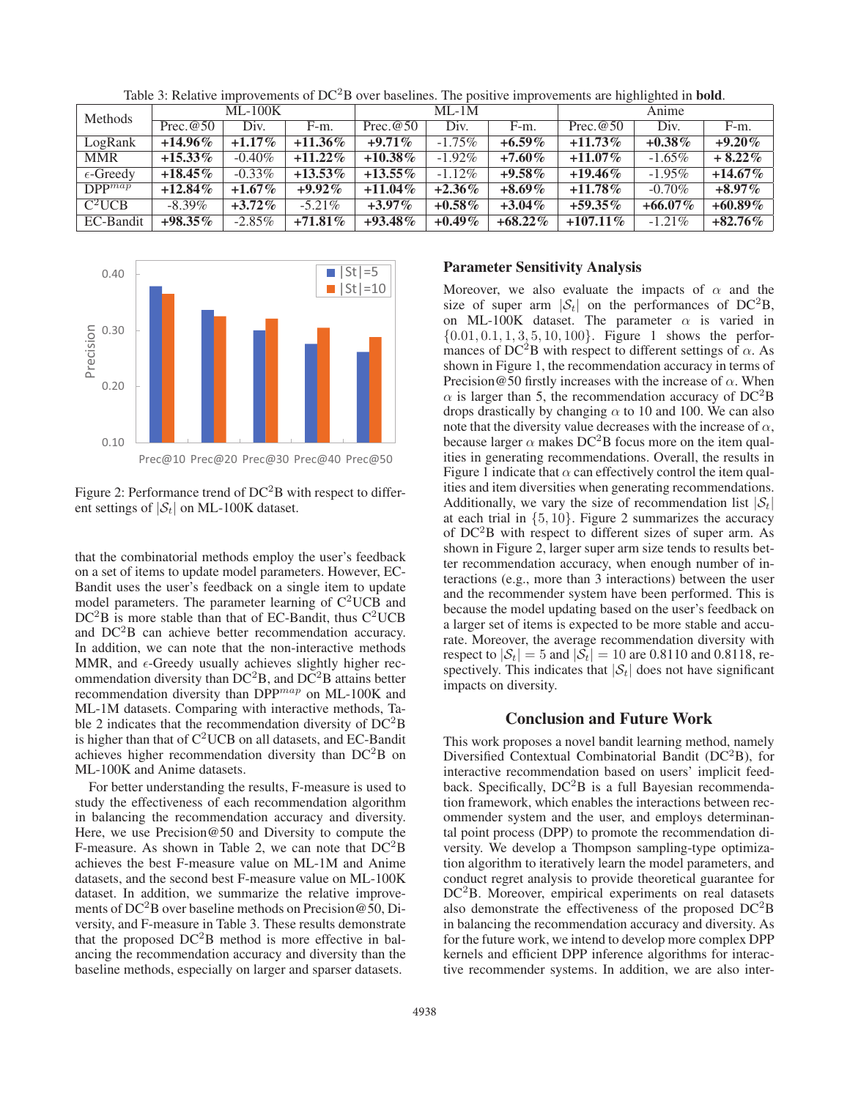| Methods            | $ML-100K$   |           | $ML-1M$    |             |           | Anime      |             |            |            |
|--------------------|-------------|-----------|------------|-------------|-----------|------------|-------------|------------|------------|
|                    | Prec. $@50$ | Div.      | F-m.       | Prec. $@50$ | Div.      | F-m.       | Prec. $@50$ | Div.       | $F-m.$     |
| LogRank            | $+14.96\%$  | $+1.17\%$ | $+11.36\%$ | $+9.71\%$   | $-1.75\%$ | $+6.59\%$  | $+11.73\%$  | $+0.38\%$  | $+9.20\%$  |
| <b>MMR</b>         | $+15.33\%$  | $-0.40\%$ | $+11.22\%$ | $+10.38\%$  | $-1.92\%$ | $+7.60\%$  | $+11.07\%$  | $-1.65\%$  | $+8.22\%$  |
| $\epsilon$ -Greedy | $+18.45\%$  | $-0.33\%$ | $+13.53\%$ | $+13.55\%$  | $-1.12\%$ | $+9.58\%$  | $+19.46\%$  | $-1.95\%$  | $+14.67\%$ |
| DPP <sup>map</sup> | $+12.84\%$  | $+1.67\%$ | $+9.92\%$  | $+11.04\%$  | $+2.36\%$ | $+8.69\%$  | $+11.78\%$  | $-0.70\%$  | $+8.97\%$  |
| $C^2UCB$           | $-8.39\%$   | $+3.72\%$ | $-5.21\%$  | $+3.97\%$   | $+0.58\%$ | $+3.04\%$  | $+59.35\%$  | $+66.07\%$ | $+60.89\%$ |
| EC-Bandit          | $+98.35\%$  | $-2.85\%$ | $+71.81\%$ | $+93.48\%$  | $+0.49\%$ | $+68.22\%$ | $+107.11\%$ | $-1.21\%$  | $+82.76\%$ |

Table 3: Relative improvements of  $DC<sup>2</sup>B$  over baselines. The positive improvements are highlighted in **bold**.



Prec@10 Prec@20 Prec@30 Prec@40 Prec@50

Figure 2: Performance trend of  $DC<sup>2</sup>B$  with respect to different settings of  $|\mathcal{S}_t|$  on ML-100K dataset.

that the combinatorial methods employ the user's feedback on a set of items to update model parameters. However, EC-Bandit uses the user's feedback on a single item to update model parameters. The parameter learning of  $C^2UCB$  and  $DC<sup>2</sup>B$  is more stable than that of EC-Bandit, thus  $C<sup>2</sup>UCB$ and DC<sup>2</sup>B can achieve better recommendation accuracy. In addition, we can note that the non-interactive methods MMR, and  $\epsilon$ -Greedy usually achieves slightly higher recommendation diversity than  $DC^2B$ , and  $DC^2B$  attains better recommendation diversity than  $DPP^{map}$  on ML-100K and ML-1M datasets. Comparing with interactive methods, Table 2 indicates that the recommendation diversity of  $DC<sup>2</sup>B$ is higher than that of  $C^2UCB$  on all datasets, and EC-Bandit achieves higher recommendation diversity than  $DC<sup>2</sup>B$  on ML-100K and Anime datasets.

For better understanding the results, F-measure is used to study the effectiveness of each recommendation algorithm in balancing the recommendation accuracy and diversity. Here, we use Precision@50 and Diversity to compute the F-measure. As shown in Table 2, we can note that  $DC<sup>2</sup>B$ achieves the best F-measure value on ML-1M and Anime datasets, and the second best F-measure value on ML-100K dataset. In addition, we summarize the relative improvements of DC<sup>2</sup>B over baseline methods on Precision @50, Diversity, and F-measure in Table 3. These results demonstrate that the proposed  $DC<sup>2</sup>B$  method is more effective in balancing the recommendation accuracy and diversity than the baseline methods, especially on larger and sparser datasets.

# Parameter Sensitivity Analysis

Moreover, we also evaluate the impacts of  $\alpha$  and the size of super arm  $|S_t|$  on the performances of DC<sup>2</sup>B, on ML-100K dataset. The parameter  $\alpha$  is varied in  $\{0.01, 0.1, 1, 3, 5, 10, 100\}$ . Figure 1 shows the performances of DC<sup>2</sup>B with respect to different settings of  $\alpha$ . As shown in Figure 1, the recommendation accuracy in terms of Precision@50 firstly increases with the increase of  $\alpha$ . When  $\alpha$  is larger than 5, the recommendation accuracy of DC<sup>2</sup>B drops drastically by changing  $\alpha$  to 10 and 100. We can also note that the diversity value decreases with the increase of  $\alpha$ , because larger  $\alpha$  makes DC<sup>2</sup>B focus more on the item qualities in generating recommendations. Overall, the results in Figure 1 indicate that  $\alpha$  can effectively control the item qualities and item diversities when generating recommendations. Additionally, we vary the size of recommendation list  $|S_t|$ at each trial in  $\{5, 10\}$ . Figure 2 summarizes the accuracy of DC2B with respect to different sizes of super arm. As shown in Figure 2, larger super arm size tends to results better recommendation accuracy, when enough number of interactions (e.g., more than 3 interactions) between the user and the recommender system have been performed. This is because the model updating based on the user's feedback on a larger set of items is expected to be more stable and accurate. Moreover, the average recommendation diversity with respect to  $|S_t| = 5$  and  $|S_t| = 10$  are 0.8110 and 0.8118, respectively. This indicates that  $|\mathcal{S}_t|$  does not have significant impacts on diversity.

# Conclusion and Future Work

This work proposes a novel bandit learning method, namely Diversified Contextual Combinatorial Bandit ( $DC<sup>2</sup>B$ ), for interactive recommendation based on users' implicit feedback. Specifically,  $DC<sup>2</sup>B$  is a full Bayesian recommendation framework, which enables the interactions between recommender system and the user, and employs determinantal point process (DPP) to promote the recommendation diversity. We develop a Thompson sampling-type optimization algorithm to iteratively learn the model parameters, and conduct regret analysis to provide theoretical guarantee for  $DC<sup>2</sup>B$ . Moreover, empirical experiments on real datasets also demonstrate the effectiveness of the proposed  $DC<sup>2</sup>B$ in balancing the recommendation accuracy and diversity. As for the future work, we intend to develop more complex DPP kernels and efficient DPP inference algorithms for interactive recommender systems. In addition, we are also inter